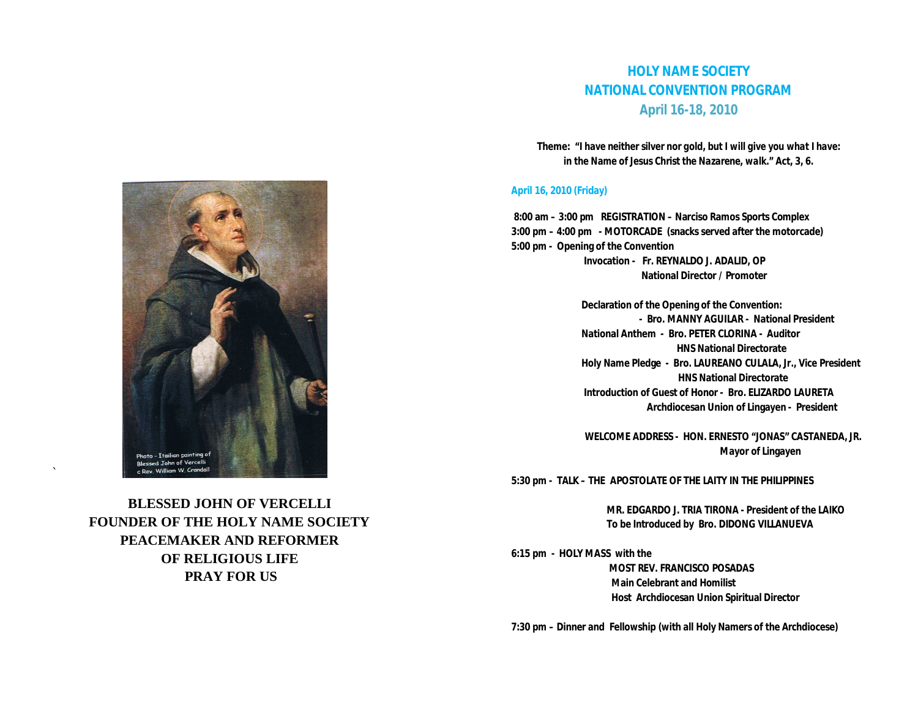## **HOLY NAME SOCIETY NATIONAL CONVENTION PROGRAM April 16-18, 2010**

**Theme: "***I have neither silver nor gold, but I will give you what I have: in the Name of Jesus Christ the Nazarene, walk."* **Act, 3, 6.**

## **April 16, 2010 (Friday)**

 **8:00 am – 3:00 pm REGISTRATION – Narciso Ramos Sports Complex 3:00 pm – 4:00 pm - MOTORCADE (snacks served after the motorcade) 5:00 pm - Opening of the Convention Invocation - Fr. REYNALDO J. ADALID, OP National Director / Promoter**

> **Declaration of the Opening of the Convention: - Bro. MANNY AGUILAR - National President National Anthem - Bro. PETER CLORINA - Auditor HNS National Directorate Holy Name Pledge - Bro. LAUREANO CULALA, Jr., Vice President HNS National Directorate Introduction of Guest of Honor - Bro. ELIZARDO LAURETA Archdiocesan Union of Lingayen - President**

 **WELCOME ADDRESS - HON. ERNESTO "JONAS" CASTANEDA, JR. Mayor of Lingayen**

**5:30 pm - TALK – THE APOSTOLATE OF THE LAITY IN THE PHILIPPINES**

 **MR. EDGARDO J. TRIA TIRONA - President of the LAIKO To be Introduced by Bro. DIDONG VILLANUEVA** 

**6:15 pm - HOLY MASS with the MOST REV. FRANCISCO POSADAS Main Celebrant and Homilist Host Archdiocesan Union Spiritual Director** 

**7:30 pm – Dinner and Fellowship (with all Holy Namers of the Archdiocese)**



**BLESSED JOHN OF VERCELLI FOUNDER OF THE HOLY NAME SOCIETY PEACEMAKER AND REFORMER OF RELIGIOUS LIFE PRAY FOR US**

`